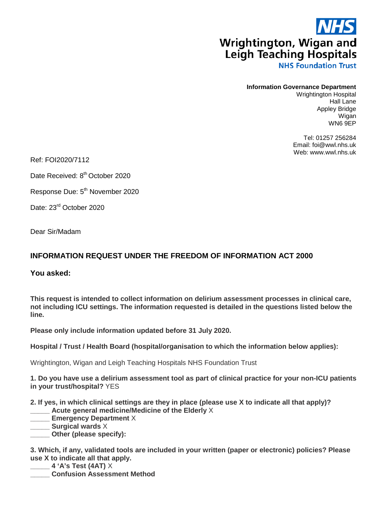## **Wrightington, Wigan and Leigh Teaching Hospitals**

**NHS Foundation Trust** 

## **Information Governance Department**

Wrightington Hospital Hall Lane Appley Bridge Wigan WN6 9EP

Tel: 01257 256284 Email: foi@wwl.nhs.uk Web: www.wwl.nhs.uk

Ref: FOI2020/7112

Date Received: 8<sup>th</sup> October 2020

Response Due: 5th November 2020

Date: 23rd October 2020

Dear Sir/Madam

## **INFORMATION REQUEST UNDER THE FREEDOM OF INFORMATION ACT 2000**

**You asked:**

**This request is intended to collect information on delirium assessment processes in clinical care, not including ICU settings. The information requested is detailed in the questions listed below the line.** 

**Please only include information updated before 31 July 2020.**

**Hospital / Trust / Health Board (hospital/organisation to which the information below applies):**

Wrightington, Wigan and Leigh Teaching Hospitals NHS Foundation Trust

**1. Do you have use a delirium assessment tool as part of clinical practice for your non-ICU patients in your trust/hospital?** YES

**2. If yes, in which clinical settings are they in place (please use X to indicate all that apply)?**

**\_\_\_\_\_ Acute general medicine/Medicine of the Elderly** X

**\_\_\_\_\_ Emergency Department** X

**\_\_\_\_\_ Surgical wards** X

**\_\_\_\_\_ Other (please specify):**

**3. Which, if any, validated tools are included in your written (paper or electronic) policies? Please use X to indicate all that apply.**

**\_\_\_\_\_ 4 'A's Test (4AT)** X

**\_\_\_\_\_ Confusion Assessment Method**